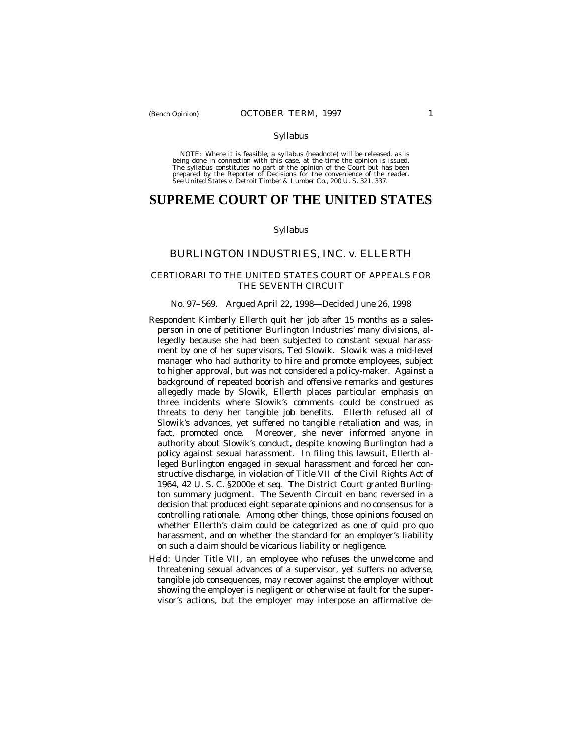NOTE: Where it is feasible, a syllabus (headnote) will be released, as is being done in connection with this case, at the time the opinion is issued. The syllabus constitutes no part of the opinion of the Court but has been<br>prepared by the Reporter of Decisions for the convenience of the reader.<br>See United States v. Detroit Timber & Lumber Co., 200 U. S. 321, 337.

# **SUPREME COURT OF THE UNITED STATES**

## Syllabus

# BURLINGTON INDUSTRIES, INC. *v.* ELLERTH

## CERTIORARI TO THE UNITED STATES COURT OF APPEALS FOR THE SEVENTH CIRCUIT

### No. 97–569. Argued April 22, 1998— Decided June 26, 1998

- Respondent Kimberly Ellerth quit her job after 15 months as a salesperson in one of petitioner Burlington Industries' many divisions, allegedly because she had been subjected to constant sexual harassment by one of her supervisors, Ted Slowik. Slowik was a mid-level manager who had authority to hire and promote employees, subject to higher approval, but was not considered a policy-maker. Against a background of repeated boorish and offensive remarks and gestures allegedly made by Slowik, Ellerth places particular emphasis on three incidents where Slowik's comments could be construed as threats to deny her tangible job benefits. Ellerth refused all of Slowik's advances, yet suffered no tangible retaliation and was, in fact, promoted once. Moreover, she never informed anyone in authority about Slowik's conduct, despite knowing Burlington had a policy against sexual harassment. In filing this lawsuit, Ellerth alleged Burlington engaged in sexual harassment and forced her constructive discharge, in violation of Title VII of the Civil Rights Act of 1964, 42 U. S. C. §2000e *et seq*. The District Court granted Burlington summary judgment. The Seventh Circuit en banc reversed in a decision that produced eight separate opinions and no consensus for a controlling rationale. Among other things, those opinions focused on whether Ellerth's claim could be categorized as one of *quid pro quo* harassment, and on whether the standard for an employer's liability on such a claim should be vicarious liability or negligence.
- *Held:* Under Title VII, an employee who refuses the unwelcome and threatening sexual advances of a supervisor, yet suffers no adverse, tangible job consequences, may recover against the employer without showing the employer is negligent or otherwise at fault for the supervisor's actions, but the employer may interpose an affirmative de-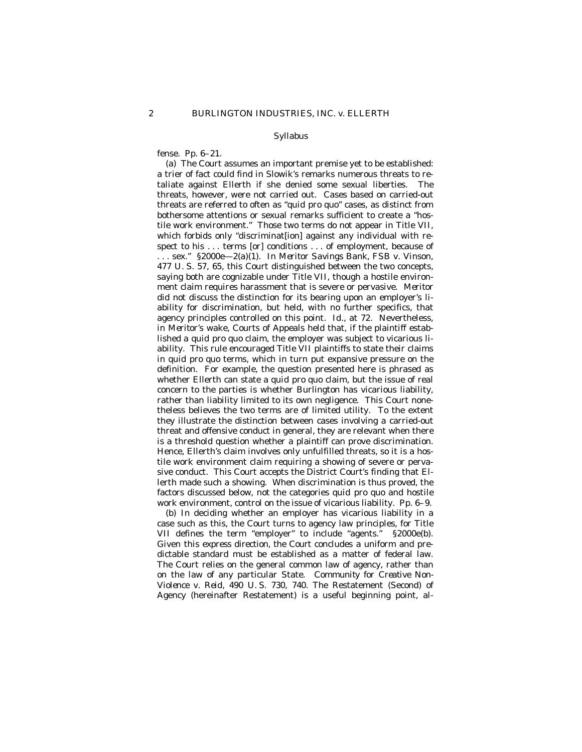fense. Pp. 6–21.

(a) The Court assumes an important premise yet to be established: a trier of fact could find in Slowik's remarks numerous threats to retaliate against Ellerth if she denied some sexual liberties. The threats, however, were not carried out. Cases based on carried-out threats are referred to often as "*quid pro quo"* cases, as distinct from bothersome attentions or sexual remarks sufficient to create a "hostile work environment." Those two terms do not appear in Title VII, which forbids only "discriminat[ion] against any individual with respect to his . . . terms [or] conditions . . . of employment, because of . . . sex." §2000e— 2(a)(1). In *Meritor Savings Bank, FSB* v. *Vinson*, 477 U. S. 57, 65, this Court distinguished between the two concepts, saying both are cognizable under Title VII, though a hostile environment claim requires harassment that is severe or pervasive. *Meritor* did not discuss the distinction for its bearing upon an employer's liability for discrimination, but held, with no further specifics, that agency principles controlled on this point. *Id*., at 72. Nevertheless, in *Meritor*'s wake, Courts of Appeals held that, if the plaintiff established a *quid pro quo* claim, the employer was subject to vicarious liability. This rule encouraged Title VII plaintiffs to state their claims in *quid pro quo* terms, which in turn put expansive pressure on the definition. For example, the question presented here is phrased as whether Ellerth can state a *quid pro quo* claim, but the issue of real concern to the parties is whether Burlington has vicarious liability, rather than liability limited to its own negligence. This Court nonetheless believes the two terms are of limited utility. To the extent they illustrate the distinction between cases involving a carried-out threat and offensive conduct in general, they are relevant when there is a threshold question whether a plaintiff can prove discrimination. Hence, Ellerth's claim involves only unfulfilled threats, so it is a hostile work environment claim requiring a showing of severe or pervasive conduct. This Court accepts the District Court's finding that Ellerth made such a showing. When discrimination is thus proved, the factors discussed below, not the categories *quid pro quo* and hostile work environment, control on the issue of vicarious liability. Pp. 6–9.

(b) In deciding whether an employer has vicarious liability in a case such as this, the Court turns to agency law principles, for Title VII defines the term "employer" to include "agents." §2000e(b). Given this express direction, the Court concludes a uniform and predictable standard must be established as a matter of federal law. The Court relies on the general common law of agency, rather than on the law of any particular State. *Community for Creative Non-Violence* v. *Reid,* 490 U. S. 730, 740. The Restatement (Second) of Agency (hereinafter Restatement) is a useful beginning point, al-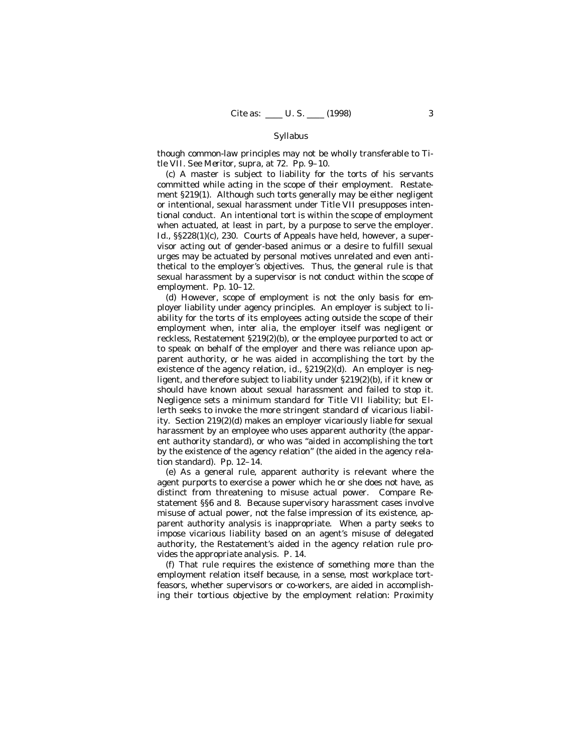though common-law principles may not be wholly transferable to Title VII. See *Meritor*, *supra*, at 72. Pp. 9–10.

(c) A master is subject to liability for the torts of his servants committed while acting in the scope of their employment. Restatement §219(1). Although such torts generally may be either negligent or intentional, sexual harassment under Title VII presupposes intentional conduct. An intentional tort is within the scope of employment when actuated, at least in part, by a purpose to serve the employer. *Id.,* §§228(1)(c), 230. Courts of Appeals have held, however, a supervisor acting out of gender-based animus or a desire to fulfill sexual urges may be actuated by personal motives unrelated and even antithetical to the employer's objectives. Thus, the general rule is that sexual harassment by a supervisor is not conduct within the scope of employment. Pp. 10–12.

(d) However, scope of employment is not the only basis for employer liability under agency principles. An employer is subject to liability for the torts of its employees acting outside the scope of their employment when, *inter alia,* the employer itself was negligent or reckless, Restatement §219(2)(b), or the employee purported to act or to speak on behalf of the employer and there was reliance upon apparent authority, or he was aided in accomplishing the tort by the existence of the agency relation, *id.,* §219(2)(d). An employer is negligent, and therefore subject to liability under §219(2)(b), if it knew or should have known about sexual harassment and failed to stop it. Negligence sets a minimum standard for Title VII liability; but Ellerth seeks to invoke the more stringent standard of vicarious liability. Section 219(2)(d) makes an employer vicariously liable for sexual harassment by an employee who uses apparent authority (the apparent authority standard), or who was "aided in accomplishing the tort by the existence of the agency relation" (the aided in the agency relation standard). Pp. 12–14.

(e) As a general rule, apparent authority is relevant where the agent purports to exercise a power which he or she does not have, as distinct from threatening to misuse actual power. Compare Restatement §§6 and 8. Because supervisory harassment cases involve misuse of actual power, not the false impression of its existence, apparent authority analysis is inappropriate. When a party seeks to impose vicarious liability based on an agent's misuse of delegated authority, the Restatement's aided in the agency relation rule provides the appropriate analysis. P. 14.

(f) That rule requires the existence of something more than the employment relation itself because, in a sense, most workplace tortfeasors, whether supervisors or co-workers, are aided in accomplishing their tortious objective by the employment relation: Proximity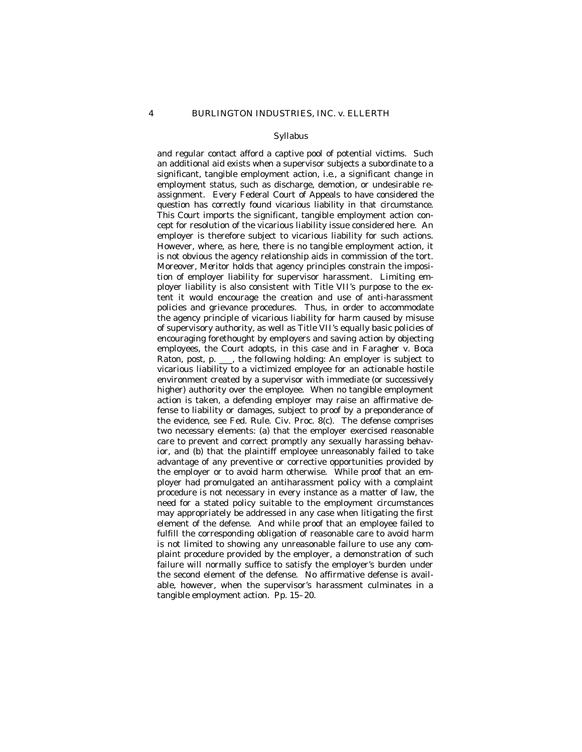and regular contact afford a captive pool of potential victims. Such an additional aid exists when a supervisor subjects a subordinate to a significant, tangible employment action, *i.e.*, a significant change in employment status, such as discharge, demotion, or undesirable reassignment. Every Federal Court of Appeals to have considered the question has correctly found vicarious liability in that circumstance. This Court imports the significant, tangible employment action concept for resolution of the vicarious liability issue considered here. An employer is therefore subject to vicarious liability for such actions. However, where, as here, there is no tangible employment action, it is not obvious the agency relationship aids in commission of the tort. Moreover, *Meritor* holds that agency principles constrain the imposition of employer liability for supervisor harassment. Limiting employer liability is also consistent with Title VII's purpose to the extent it would encourage the creation and use of anti-harassment policies and grievance procedures. Thus, in order to accommodate the agency principle of vicarious liability for harm caused by misuse of supervisory authority, as well as Title VII's equally basic policies of encouraging forethought by employers and saving action by objecting employees, the Court adopts, in this case and in *Faragher* v. *Boca Raton*, *post,* p. \_\_\_, the following holding: An employer is subject to vicarious liability to a victimized employee for an actionable hostile environment created by a supervisor with immediate (or successively higher) authority over the employee. When no tangible employment action is taken, a defending employer may raise an affirmative defense to liability or damages, subject to proof by a preponderance of the evidence, see Fed. Rule. Civ. Proc. 8(c). The defense comprises two necessary elements: (a) that the employer exercised reasonable care to prevent and correct promptly any sexually harassing behavior, and (b) that the plaintiff employee unreasonably failed to take advantage of any preventive or corrective opportunities provided by the employer or to avoid harm otherwise. While proof that an employer had promulgated an antiharassment policy with a complaint procedure is not necessary in every instance as a matter of law, the need for a stated policy suitable to the employment circumstances may appropriately be addressed in any case when litigating the first element of the defense. And while proof that an employee failed to fulfill the corresponding obligation of reasonable care to avoid harm is not limited to showing any unreasonable failure to use any complaint procedure provided by the employer, a demonstration of such failure will normally suffice to satisfy the employer's burden under the second element of the defense. No affirmative defense is available, however, when the supervisor's harassment culminates in a tangible employment action. Pp. 15–20.